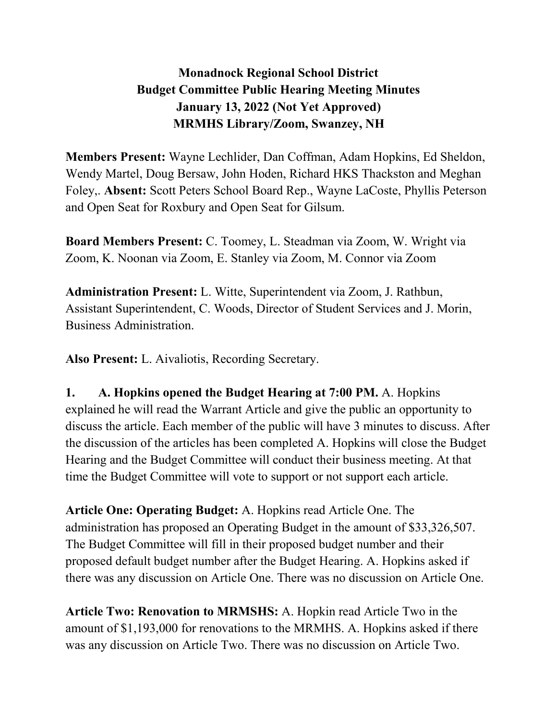## **Monadnock Regional School District Budget Committee Public Hearing Meeting Minutes January 13, 2022 (Not Yet Approved) MRMHS Library/Zoom, Swanzey, NH**

**Members Present:** Wayne Lechlider, Dan Coffman, Adam Hopkins, Ed Sheldon, Wendy Martel, Doug Bersaw, John Hoden, Richard HKS Thackston and Meghan Foley,. **Absent:** Scott Peters School Board Rep., Wayne LaCoste, Phyllis Peterson and Open Seat for Roxbury and Open Seat for Gilsum.

**Board Members Present:** C. Toomey, L. Steadman via Zoom, W. Wright via Zoom, K. Noonan via Zoom, E. Stanley via Zoom, M. Connor via Zoom

**Administration Present:** L. Witte, Superintendent via Zoom, J. Rathbun, Assistant Superintendent, C. Woods, Director of Student Services and J. Morin, Business Administration.

**Also Present:** L. Aivaliotis, Recording Secretary.

**1. A. Hopkins opened the Budget Hearing at 7:00 PM.** A. Hopkins explained he will read the Warrant Article and give the public an opportunity to discuss the article. Each member of the public will have 3 minutes to discuss. After the discussion of the articles has been completed A. Hopkins will close the Budget Hearing and the Budget Committee will conduct their business meeting. At that time the Budget Committee will vote to support or not support each article.

**Article One: Operating Budget:** A. Hopkins read Article One. The administration has proposed an Operating Budget in the amount of \$33,326,507. The Budget Committee will fill in their proposed budget number and their proposed default budget number after the Budget Hearing. A. Hopkins asked if there was any discussion on Article One. There was no discussion on Article One.

**Article Two: Renovation to MRMSHS:** A. Hopkin read Article Two in the amount of \$1,193,000 for renovations to the MRMHS. A. Hopkins asked if there was any discussion on Article Two. There was no discussion on Article Two.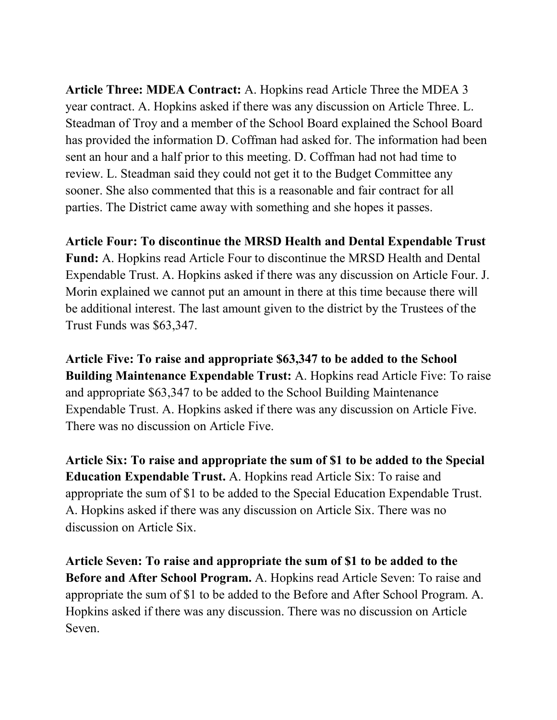**Article Three: MDEA Contract:** A. Hopkins read Article Three the MDEA 3 year contract. A. Hopkins asked if there was any discussion on Article Three. L. Steadman of Troy and a member of the School Board explained the School Board has provided the information D. Coffman had asked for. The information had been sent an hour and a half prior to this meeting. D. Coffman had not had time to review. L. Steadman said they could not get it to the Budget Committee any sooner. She also commented that this is a reasonable and fair contract for all parties. The District came away with something and she hopes it passes.

**Article Four: To discontinue the MRSD Health and Dental Expendable Trust** 

**Fund:** A. Hopkins read Article Four to discontinue the MRSD Health and Dental Expendable Trust. A. Hopkins asked if there was any discussion on Article Four. J. Morin explained we cannot put an amount in there at this time because there will be additional interest. The last amount given to the district by the Trustees of the Trust Funds was \$63,347.

**Article Five: To raise and appropriate \$63,347 to be added to the School Building Maintenance Expendable Trust:** A. Hopkins read Article Five: To raise and appropriate \$63,347 to be added to the School Building Maintenance Expendable Trust. A. Hopkins asked if there was any discussion on Article Five. There was no discussion on Article Five.

**Article Six: To raise and appropriate the sum of \$1 to be added to the Special Education Expendable Trust.** A. Hopkins read Article Six: To raise and appropriate the sum of \$1 to be added to the Special Education Expendable Trust. A. Hopkins asked if there was any discussion on Article Six. There was no discussion on Article Six.

**Article Seven: To raise and appropriate the sum of \$1 to be added to the Before and After School Program.** A. Hopkins read Article Seven: To raise and appropriate the sum of \$1 to be added to the Before and After School Program. A. Hopkins asked if there was any discussion. There was no discussion on Article Seven.